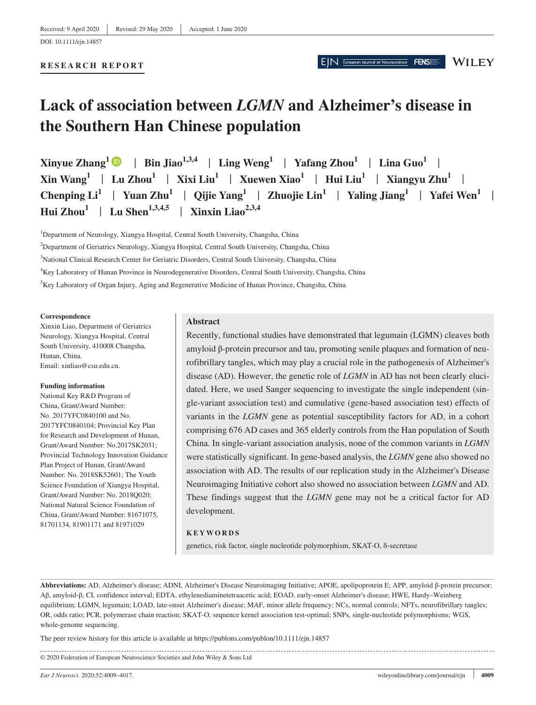**WILEY** 

FENS

# **Lack of association between** *LGMN* **and Alzheimer's disease in the Southern Han Chinese population**

**Xinyue Zhang**<sup>1</sup>  $\bullet$  | Bin Jiao<sup>1,3,4</sup> | Ling Weng<sup>1</sup> | Yafang Zhou<sup>1</sup> | Lina Guo<sup>1</sup> | **Xin Wang**<sup>1</sup> | Lu Zhou<sup>1</sup> | Xixi Liu<sup>1</sup> | Xuewen Xiao<sup>1</sup> | Hui Liu<sup>1</sup> | Xiangyu Zhu<sup>1</sup> | **Chenping Li<sup>1</sup>** | **Yuan Zhu1** | **Qijie Yang1** | **Zhuojie Lin1** | **Yaling Jiang1** | **Yafei Wen1** | **Hui Zhou**<sup>1</sup> | **Lu Shen**<sup>1,3,4,5</sup> | **Xinxin Liao**<sup>2,3,4</sup>

<sup>1</sup>Department of Neurology, Xiangya Hospital, Central South University, Changsha, China

<sup>2</sup>Department of Geriatrics Neurology, Xiangya Hospital, Central South University, Changsha, China

3 National Clinical Research Center for Geriatric Disorders, Central South University, Changsha, China

4 Key Laboratory of Hunan Province in Neurodegenerative Disorders, Central South University, Changsha, China

<sup>5</sup>Key Laboratory of Organ Injury, Aging and Regenerative Medicine of Hunan Province, Changsha, China

#### **Correspondence**

Xinxin Liao, Department of Geriatrics Neurology, Xiangya Hospital, Central South University, 410008 Changsha, Hunan, China. Email: [xinliao@csu.edu.cn](mailto:xinliao@csu.edu.cn).

#### **Funding information**

National Key R&D Program of China, Grant/Award Number: No. 2017YFC0840100 and No. 2017YFC0840104; Provincial Key Plan for Research and Development of Hunan, Grant/Award Number: No.2017SK2031; Provincial Technology Innovation Guidance Plan Project of Hunan, Grant/Award Number: No. 2018SK52601; The Youth Science Foundation of Xiangya Hospital, Grant/Award Number: No. 2018Q020; National Natural Science Foundation of China, Grant/Award Number: 81671075, 81701134, 81901171 and 81971029

#### **Abstract**

Recently, functional studies have demonstrated that legumain (LGMN) cleaves both amyloid β-protein precursor and tau, promoting senile plaques and formation of neurofibrillary tangles, which may play a crucial role in the pathogenesis of Alzheimer's disease (AD). However, the genetic role of *LGMN* in AD has not been clearly elucidated. Here, we used Sanger sequencing to investigate the single independent (single-variant association test) and cumulative (gene-based association test) effects of variants in the *LGMN* gene as potential susceptibility factors for AD, in a cohort comprising 676 AD cases and 365 elderly controls from the Han population of South China. In single-variant association analysis, none of the common variants in *LGMN* were statistically significant. In gene-based analysis, the *LGMN* gene also showed no association with AD. The results of our replication study in the Alzheimer's Disease Neuroimaging Initiative cohort also showed no association between *LGMN* and AD. These findings suggest that the *LGMN* gene may not be a critical factor for AD development.

#### **KEYWORDS**

genetics, risk factor, single nucleotide polymorphism, SKAT-O, δ-secretase

**Abbreviations:** AD, Alzheimer's disease; ADNI, Alzheimer's Disease Neuroimaging Initiative; APOE, apolipoprotein E; APP, amyloid β-protein precursor; Aβ, amyloid-β; CI, confidence interval; EDTA, ethylenediaminetetraacetic acid; EOAD, early-onset Alzheimer's disease; HWE, Hardy–Weinberg equilibrium; LGMN, legumain; LOAD, late-onset Alzheimer's disease; MAF, minor allele frequency; NCs, normal controls; NFTs, neurofibrillary tangles; OR, odds ratio; PCR, polymerase chain reaction; SKAT-O, sequence kernel association test-optimal; SNPs, single-nucleotide polymorphisms; WGS, whole-genome sequencing.

The peer review history for this article is available at <https://publons.com/publon/10.1111/ejn.14857>

© 2020 Federation of European Neuroscience Societies and John Wiley & Sons Ltd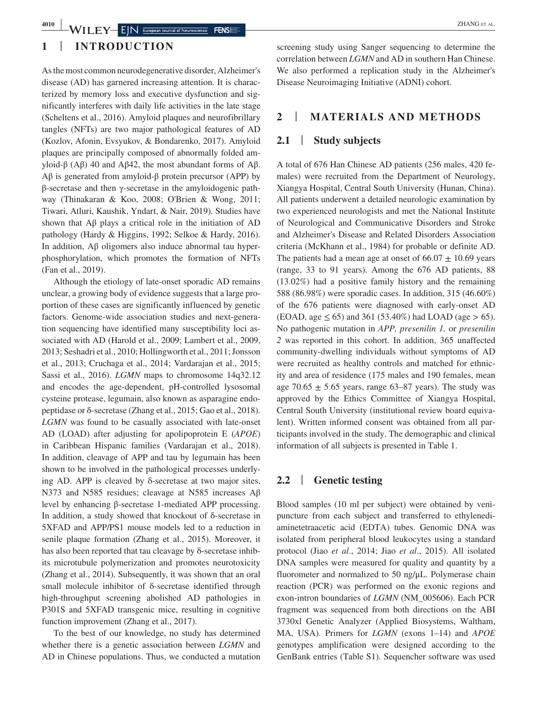## **4010 WILEY-EIN** European Journal of Neuroscience **FENS**

## **1** | **INTRODUCTION**

As the most common neurodegenerative disorder, Alzheimer's disease (AD) has garnered increasing attention. It is characterized by memory loss and executive dysfunction and significantly interferes with daily life activities in the late stage (Scheltens et al., 2016). Amyloid plaques and neurofibrillary tangles (NFTs) are two major pathological features of AD (Kozlov, Afonin, Evsyukov, & Bondarenko, 2017). Amyloid plaques are principally composed of abnormally folded amyloid-β (Aβ) 40 and Aβ42, the most abundant forms of Aβ. Aβ is generated from amyloid-β protein precursor (APP) by β-secretase and then γ-secretase in the amyloidogenic pathway (Thinakaran & Koo, 2008; O'Brien & Wong, 2011; Tiwari, Atluri, Kaushik, Yndart, & Nair, 2019). Studies have shown that Aβ plays a critical role in the initiation of AD pathology (Hardy & Higgins, 1992; Selkoe & Hardy, 2016). In addition, Aβ oligomers also induce abnormal tau hyperphosphorylation, which promotes the formation of NFTs (Fan et al., 2019).

Although the etiology of late-onset sporadic AD remains unclear, a growing body of evidence suggests that a large proportion of these cases are significantly influenced by genetic factors. Genome-wide association studies and next-generation sequencing have identified many susceptibility loci associated with AD (Harold et al., 2009; Lambert et al., 2009, 2013; Seshadri et al., 2010; Hollingworth et al., 2011; Jonsson et al., 2013; Cruchaga et al., 2014; Vardarajan et al., 2015; Sassi et al., 2016). *LGMN* maps to chromosome 14q32.12 and encodes the age-dependent, pH-controlled lysosomal cysteine protease, legumain, also known as asparagine endopeptidase or δ-secretase (Zhang et al., 2015; Gao et al., 2018). *LGMN* was found to be casually associated with late-onset AD (LOAD) after adjusting for apolipoprotein E (*APOE*) in Caribbean Hispanic families (Vardarajan et al., 2018). In addition, cleavage of APP and tau by legumain has been shown to be involved in the pathological processes underlying AD. APP is cleaved by δ-secretase at two major sites, N373 and N585 residues; cleavage at N585 increases Aβ level by enhancing β-secretase 1-mediated APP processing. In addition, a study showed that knockout of δ-secretase in 5XFAD and APP/PS1 mouse models led to a reduction in senile plaque formation (Zhang et al., 2015). Moreover, it has also been reported that tau cleavage by δ-secretase inhibits microtubule polymerization and promotes neurotoxicity (Zhang et al., 2014). Subsequently, it was shown that an oral small molecule inhibitor of δ-secretase identified through high-throughput screening abolished AD pathologies in P301S and 5XFAD transgenic mice, resulting in cognitive function improvement (Zhang et al., 2017).

To the best of our knowledge, no study has determined whether there is a genetic association between *LGMN* and AD in Chinese populations. Thus, we conducted a mutation screening study using Sanger sequencing to determine the correlation between *LGMN* and AD in southern Han Chinese. We also performed a replication study in the Alzheimer's Disease Neuroimaging Initiative (ADNI) cohort.

## **2** | **MATERIALS AND METHODS**

#### **2.1** | **Study subjects**

A total of 676 Han Chinese AD patients (256 males, 420 females) were recruited from the Department of Neurology, Xiangya Hospital, Central South University (Hunan, China). All patients underwent a detailed neurologic examination by two experienced neurologists and met the National Institute of Neurological and Communicative Disorders and Stroke and Alzheimer's Disease and Related Disorders Association criteria (McKhann et al., 1984) for probable or definite AD. The patients had a mean age at onset of  $66.07 \pm 10.69$  years (range, 33 to 91 years). Among the 676 AD patients, 88 (13.02%) had a positive family history and the remaining 588 (86.98%) were sporadic cases. In addition, 315 (46.60%) of the 676 patients were diagnosed with early-onset AD (EOAD, age  $\leq 65$ ) and 361 (53.40%) had LOAD (age  $> 65$ ). No pathogenic mutation in *APP, presenilin 1,* or *presenilin 2* was reported in this cohort. In addition, 365 unaffected community-dwelling individuals without symptoms of AD were recruited as healthy controls and matched for ethnicity and area of residence (175 males and 190 females, mean age 70.65  $\pm$  5.65 years, range 63–87 years). The study was approved by the Ethics Committee of Xiangya Hospital, Central South University (institutional review board equivalent). Written informed consent was obtained from all participants involved in the study. The demographic and clinical information of all subjects is presented in Table 1.

## **2.2** | **Genetic testing**

Blood samples (10 ml per subject) were obtained by venipuncture from each subject and transferred to ethylenediaminetetraacetic acid (EDTA) tubes. Genomic DNA was isolated from peripheral blood leukocytes using a standard protocol (Jiao *et al*., 2014; Jiao *et al*., 2015). All isolated DNA samples were measured for quality and quantity by a fluorometer and normalized to 50 ng/μL. Polymerase chain reaction (PCR) was performed on the exonic regions and exon-intron boundaries of *LGMN* (NM\_005606). Each PCR fragment was sequenced from both directions on the ABI 3730xl Genetic Analyzer (Applied Biosystems, Waltham, MA, USA). Primers for *LGMN* (exons 1–14) and *APOE* genotypes amplification were designed according to the GenBank entries (Table S1). Sequencher software was used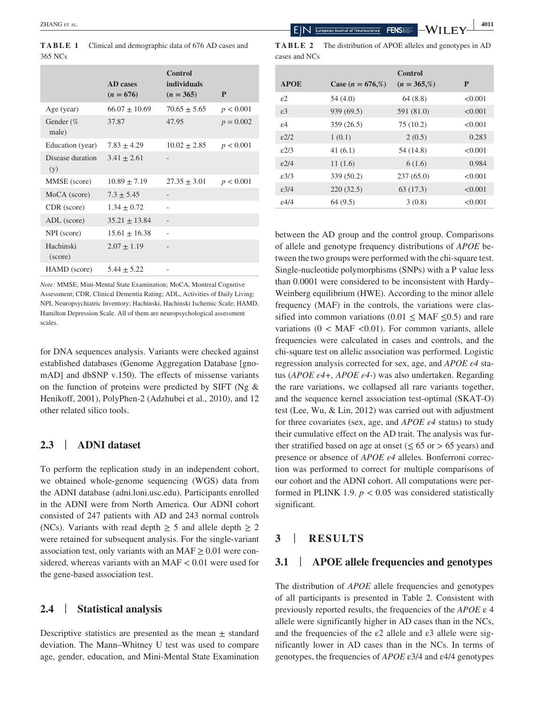**TABLE 1** Clinical and demographic data of 676 AD cases and 365 NCs

|                         | <b>AD</b> cases<br>$(n = 676)$ | <b>Control</b><br><b>individuals</b><br>$(n = 365)$ | P           |
|-------------------------|--------------------------------|-----------------------------------------------------|-------------|
| Age (year)              | $66.07 \pm 10.69$              | $70.65 \pm 5.65$                                    | p < 0.001   |
| Gender $(\%$<br>male)   | 37.87                          | 47.95                                               | $p = 0.002$ |
| Education (year)        | $7.83 \pm 4.29$                | $10.02 \pm 2.85$                                    | p < 0.001   |
| Disease duration<br>(y) | $3.41 \pm 2.61$                |                                                     |             |
| MMSE (score)            | $10.89 \pm 7.19$               | $27.35 \pm 3.01$                                    | p < 0.001   |
| MoCA (score)            | $7.3 \pm 5.45$                 |                                                     |             |
| CDR (score)             | $1.34 \pm 0.72$                |                                                     |             |
| ADL (score)             | $35.21 \pm 13.84$              |                                                     |             |
| NPI (score)             | $15.61 \pm 16.38$              |                                                     |             |
| Hachinski<br>(score)    | $2.07 + 1.19$                  |                                                     |             |
| HAMD (score)            | $5.44 + 5.22$                  |                                                     |             |

*Note:* MMSE, Mini-Mental State Examination; MoCA, Montreal Cognitive Assessment; CDR, Clinical Dementia Rating; ADL, Activities of Daily Living; NPI, Neuropsychiatric Inventory; Hachinski, Hachinski Ischemic Scale; HAMD, Hamilton Depression Scale. All of them are neuropsychological assessment scales.

for DNA sequences analysis. Variants were checked against established databases (Genome Aggregation Database [gnomAD] and dbSNP v.150). The effects of missense variants on the function of proteins were predicted by SIFT (Ng & Henikoff, 2001), PolyPhen-2 (Adzhubei et al., 2010), and 12 other related silico tools.

## **2.3** | **ADNI dataset**

To perform the replication study in an independent cohort, we obtained whole-genome sequencing (WGS) data from the ADNI database (adni.loni.usc.edu). Participants enrolled in the ADNI were from North America. Our ADNI cohort consisted of 247 patients with AD and 243 normal controls (NCs). Variants with read depth  $\geq 5$  and allele depth  $\geq 2$ were retained for subsequent analysis. For the single-variant association test, only variants with an MAF  $\geq$  0.01 were considered, whereas variants with an MAF < 0.01 were used for the gene-based association test.

#### **2.4** | **Statistical analysis**

Descriptive statistics are presented as the mean  $\pm$  standard deviation. The Mann–Whitney U test was used to compare age, gender, education, and Mini-Mental State Examination

**TABLE 2** The distribution of APOE alleles and genotypes in AD cases and NCs

| <b>APOE</b>               | Case $(n = 676, \%)$ | Control<br>$(n = 365,%)$ | P       |
|---------------------------|----------------------|--------------------------|---------|
| $\varepsilon$ 2           | 54(4.0)              | 64(8.8)                  | < 0.001 |
| $\varepsilon$ 3           | 939 (69.5)           | 591 (81.0)               | < 0.001 |
| $\varepsilon$ 4           | 359 (26.5)           | 75(10.2)                 | < 0.001 |
| .212                      | 1(0.1)               | 2(0.5)                   | 0.283   |
| $\epsilon$ 2/3            | 41(6.1)              | 54 (14.8)                | < 0.001 |
| $\epsilon$ <sup>2/4</sup> | 11(1.6)              | 6(1.6)                   | 0.984   |
| $\epsilon$ 3/3            | 339 (50.2)           | 237(65.0)                | < 0.001 |
| $\epsilon$ 3/4            | 220(32.5)            | 63 (17.3)                | < 0.001 |
| $\epsilon$ 4/4            | 64(9.5)              | 3(0.8)                   | < 0.001 |

between the AD group and the control group. Comparisons of allele and genotype frequency distributions of *APOE* between the two groups were performed with the chi-square test. Single-nucleotide polymorphisms (SNPs) with a P value less than 0.0001 were considered to be inconsistent with Hardy– Weinberg equilibrium (HWE). According to the minor allele frequency (MAF) in the controls, the variations were classified into common variations (0.01  $\leq$  MAF  $\leq$ 0.5) and rare variations  $(0 < MAF < 0.01)$ . For common variants, allele frequencies were calculated in cases and controls, and the chi-square test on allelic association was performed. Logistic regression analysis corrected for sex, age, and *APOE ε4* status (*APOE ε4+, APOE ε4-*) was also undertaken. Regarding the rare variations, we collapsed all rare variants together, and the sequence kernel association test-optimal (SKAT-O) test (Lee, Wu, & Lin, 2012) was carried out with adjustment for three covariates (sex, age, and *APOE ε4* status) to study their cumulative effect on the AD trait. The analysis was further stratified based on age at onset ( $\leq 65$  or  $> 65$  years) and presence or absence of *APOE ε4* alleles. Bonferroni correction was performed to correct for multiple comparisons of our cohort and the ADNI cohort. All computations were performed in PLINK 1.9.  $p < 0.05$  was considered statistically significant.

## **3** | **RESULTS**

#### **3.1** | **APOE allele frequencies and genotypes**

The distribution of *APOE* allele frequencies and genotypes of all participants is presented in Table 2. Consistent with previously reported results, the frequencies of the *APOE* ε 4 allele were significantly higher in AD cases than in the NCs, and the frequencies of the  $\varepsilon$ 2 allele and  $\varepsilon$ 3 allele were significantly lower in AD cases than in the NCs. In terms of genotypes, the frequencies of *APOE* ε3/4 and ε4/4 genotypes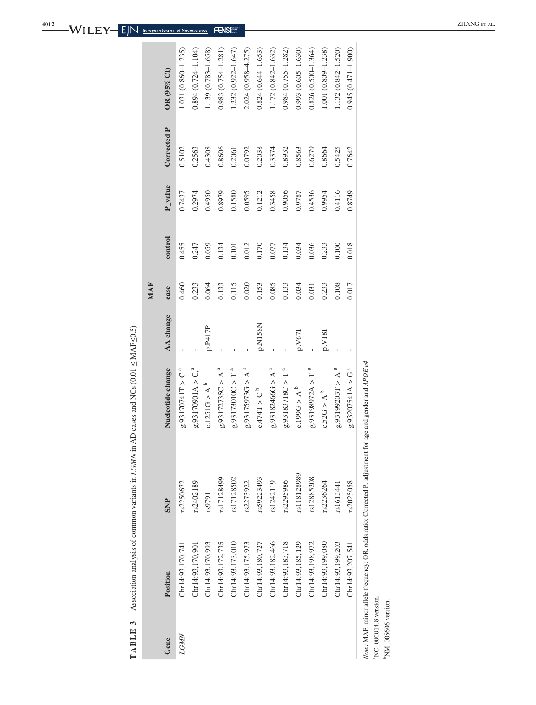**TABLE 3** Association analysis of common variants in *LGMN* in AD cases and NCs (0.01 ≤ MAF≤0.5)

TABLE 3

Association analysis of common variants in LGMN in AD cases and NCs (0.01  $\leq$  MAF $\leq$ 0.5)

**4012**

|      |                  |             |                              |           | MAF   |         |             |             |                        |
|------|------------------|-------------|------------------------------|-----------|-------|---------|-------------|-------------|------------------------|
| Gene | Position         | <b>SNP</b>  | Nucleotide change            | AA change | case  | control | $P_v$ value | Corrected P | OR (95% CI)            |
| LGMN | Chr14:93,170,741 | rs2250672   | g.93170741T > C <sup>a</sup> |           | 0.460 | 0.455   | 0.7437      | 0.5102      | 1.031 (0.860-1.235)    |
|      | Chr14:93,170,901 | rs2402189   | g.93170901A > C <sup>a</sup> |           | 0.233 | 0.247   | 0.2974      | 0.2563      | $0.894(0.724 - 1.104)$ |
|      | Chr14:93,170,993 | rs9791      | $c.1251G > A^{b}$            | p.P417P   | 0.064 | 0.059   | 0.4950      | 0.4308      | 1.139 (0.783-1.658)    |
|      | Chr14:93,172,735 | rs17128499  | $g.93172735C > A^a$          |           | 0.133 | 0.134   | 0.8979      | 0.8606      | $0.983(0.754 - 1.281)$ |
|      | Chr14:93,173,010 | rs17128502  | $g.93173010C > T^4$          |           | 0.115 | 0.101   | 0.1580      | 0.2061      | 1.232 (0.922-1.647)    |
|      | Chr14:93,175,973 | rs2273922   | $g.93175973G > A^a$          |           | 0.020 | 0.012   | 0.0595      | 0.0792      | $2.024(0.958 - 4.275)$ |
|      | Chr14:93,180,727 | rs59223493  | $c.474T > C b$               | p.N158N   | 0.153 | 0.170   | 0.1212      | 0.2038      | $0.824(0.644 - 1.653)$ |
|      | Chr14:93,182,466 | rs1242119   | g.93182466G > A <sup>a</sup> |           | 0.085 | 0.077   | 0.3458      | 0.3374      | 1.172 (0.842-1.632)    |
|      | Chr14:93,183,718 | rs2295986   | $g.93183718C > T^3$          |           | 0.133 | 0.134   | 0.9056      | 0.8932      | $0.984(0.755 - 1.282)$ |
|      | Chr14:93,185,129 | rs118128989 | $c.199G > A^{b}$             | p.V67I    | 0.034 | 0.034   | 0.9787      | 0.8563      | $0.993(0.605 - 1.630)$ |
|      | Chr14:93,198,972 | rs12885208  | $g.93198972A > T^a$          |           | 0.031 | 0.036   | 0.4536      | 0.6279      | $0.826(0.500 - 1.364)$ |
|      | Chr14:93,199,080 | rs2236264   | $c.52G > A^b$                | p.V18I    | 0.233 | 0.233   | 0.9954      | 0.8664      | 1.001 (0.809-1.238)    |
|      | Chr14:93,199,203 | rs1613441   | $g.93199203T > A^a$          |           | 0.108 | 0.100   | 0.4116      | 0.5425      | 1.132 (0.842-1.520)    |
|      | Chr14:93,207,541 | rs2025058   | g.93207541A > G <sup>a</sup> |           | 0.017 | 0.018   | 0.8749      | 0.7642      | $0.945(0.471 - 1.900)$ |
|      |                  |             |                              |           |       |         |             |             |                        |

Note: MAF, minor allele frequency; OR, odds ratio; Corrected P, adjustment for age and gender and APOE e4. *Note:* MAF, minor allele frequency; OR, odds ratio; Corrected P, adjustment for age and gender and *APOE ε4*.

 ${}^{4}$ NC\_000014.8 version.<br> ${}^{b}$ NM\_005606 version. aNC\_000014.8 version. <sup>b</sup>NM\_005606 version.

a l .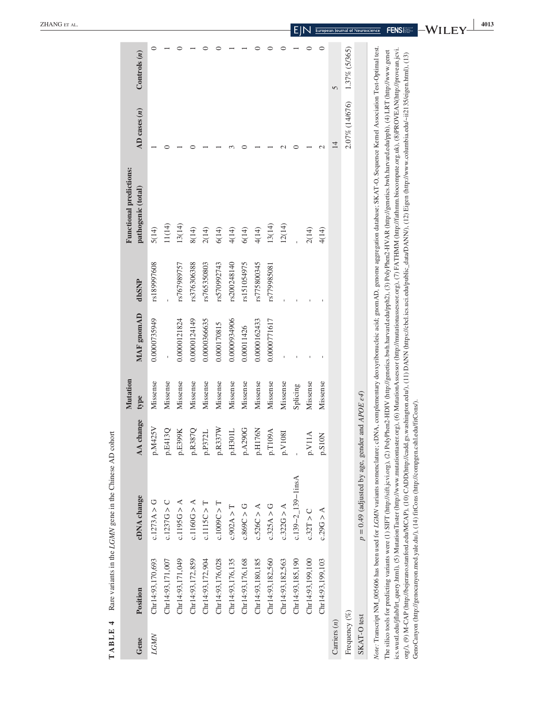| TABLE 4        |                  | Rare variants in the LGMN gene in the Chinese AD cohort                                      |           |                  |              |             |                                                                                                                                                                                                                                                                                                                                                                                                                                                                                                                                                                                                                                                                                                                                                                                                                                                                                                         |                  |                |
|----------------|------------------|----------------------------------------------------------------------------------------------|-----------|------------------|--------------|-------------|---------------------------------------------------------------------------------------------------------------------------------------------------------------------------------------------------------------------------------------------------------------------------------------------------------------------------------------------------------------------------------------------------------------------------------------------------------------------------------------------------------------------------------------------------------------------------------------------------------------------------------------------------------------------------------------------------------------------------------------------------------------------------------------------------------------------------------------------------------------------------------------------------------|------------------|----------------|
| Gene           | Position         | cDNA change                                                                                  | AA change | Mutation<br>type | MAF gnomAD   | dbSNP       | <b>Functional predictions:</b><br>pathogenic (total)                                                                                                                                                                                                                                                                                                                                                                                                                                                                                                                                                                                                                                                                                                                                                                                                                                                    | $AD$ cases $(n)$ | Controls $(n)$ |
| LGMN           | Chr14:93,170,693 | c.1273A > G                                                                                  | p.M425V   | Missense         | 0.0000735949 | rs189997608 | 5(14)                                                                                                                                                                                                                                                                                                                                                                                                                                                                                                                                                                                                                                                                                                                                                                                                                                                                                                   |                  |                |
|                | Chr14:93,171,007 | c.1237G > C                                                                                  | p.E413Q   | Missense         |              |             | 11(14)                                                                                                                                                                                                                                                                                                                                                                                                                                                                                                                                                                                                                                                                                                                                                                                                                                                                                                  |                  |                |
|                | Chr14:93,171,049 | c.1195G > A                                                                                  | $p.E399K$ | Missense         | 0.0000121824 | rs767989757 | 13(14)                                                                                                                                                                                                                                                                                                                                                                                                                                                                                                                                                                                                                                                                                                                                                                                                                                                                                                  |                  |                |
|                | Chr14:93,172,859 | c.1160G > A                                                                                  | p.R387Q   | Missense         | 0.0000124149 | rs376306388 | 8(14)                                                                                                                                                                                                                                                                                                                                                                                                                                                                                                                                                                                                                                                                                                                                                                                                                                                                                                   |                  |                |
|                | Chr14:93,172,904 | c.1115C > T                                                                                  | p.P372L   | Missense         | 0.0000366635 | rs765350803 | 2(14)                                                                                                                                                                                                                                                                                                                                                                                                                                                                                                                                                                                                                                                                                                                                                                                                                                                                                                   |                  |                |
|                | Chr14:93,176,028 | $\text{c.1009C} > \text{T}$                                                                  | p.R337W   | Missense         | 0.000170815  | rs570992743 | $6(14)$                                                                                                                                                                                                                                                                                                                                                                                                                                                                                                                                                                                                                                                                                                                                                                                                                                                                                                 |                  |                |
|                | Chr14:93,176,135 | c.902A > T                                                                                   | p.H301L   | Missense         | 0.0000934906 | rs200248140 | 4(14)                                                                                                                                                                                                                                                                                                                                                                                                                                                                                                                                                                                                                                                                                                                                                                                                                                                                                                   |                  |                |
|                | Chr14:93,176,168 | c.869C > G                                                                                   | p.A290G   | Missense         | 0.00011426   | rs151054975 | 6(14)                                                                                                                                                                                                                                                                                                                                                                                                                                                                                                                                                                                                                                                                                                                                                                                                                                                                                                   |                  |                |
|                | Chr14:93,180,185 | c.526C > A                                                                                   | p.H176N   | Missense         | 0.0000162433 | rs775800345 | 4(14)                                                                                                                                                                                                                                                                                                                                                                                                                                                                                                                                                                                                                                                                                                                                                                                                                                                                                                   |                  |                |
|                | Chr14:93,182,560 | c.325A > G                                                                                   | p.T109A   | Missense         | 0.0000771617 | rs779985081 | 13(14)                                                                                                                                                                                                                                                                                                                                                                                                                                                                                                                                                                                                                                                                                                                                                                                                                                                                                                  |                  |                |
|                | Chr14:93,182,563 | c.322G > A                                                                                   | $p.V108I$ | Missense         |              |             | 12(14)                                                                                                                                                                                                                                                                                                                                                                                                                                                                                                                                                                                                                                                                                                                                                                                                                                                                                                  |                  |                |
|                | Chr14:93,185,190 | $c.139 - 2$ <sub>-139</sub> $-1$ insA                                                        |           | Splicing         |              |             |                                                                                                                                                                                                                                                                                                                                                                                                                                                                                                                                                                                                                                                                                                                                                                                                                                                                                                         |                  |                |
|                | Chr14:93,199,100 | c.32T > C                                                                                    | $p.V11A$  | Missense         |              |             | 2(14)                                                                                                                                                                                                                                                                                                                                                                                                                                                                                                                                                                                                                                                                                                                                                                                                                                                                                                   |                  |                |
|                | Chr14:93,199,103 | c.29G > A                                                                                    | p.S10N    | Missense         |              |             | 4(14)                                                                                                                                                                                                                                                                                                                                                                                                                                                                                                                                                                                                                                                                                                                                                                                                                                                                                                   |                  |                |
| Carriers $(n)$ |                  |                                                                                              |           |                  |              |             |                                                                                                                                                                                                                                                                                                                                                                                                                                                                                                                                                                                                                                                                                                                                                                                                                                                                                                         | $\overline{14}$  | $\sqrt{2}$     |
| Frequency (%)  |                  |                                                                                              |           |                  |              |             |                                                                                                                                                                                                                                                                                                                                                                                                                                                                                                                                                                                                                                                                                                                                                                                                                                                                                                         | 2.07% (14/676)   | 1.37% (5/365)  |
| SKAT-O test    |                  | $p = 0.49$ (adjusted by age, gender and APOE $\epsilon$ 4)                                   |           |                  |              |             |                                                                                                                                                                                                                                                                                                                                                                                                                                                                                                                                                                                                                                                                                                                                                                                                                                                                                                         |                  |                |
|                |                  | GenoCanyon (http://genocanyon.med.yale.du/), (14) fitCons (http://compgen.cshl.edu/fitCons/) |           |                  |              |             | Note: Transcript NM_005606 has been used for LGMN variants nomenclature; cDNA, complementary deoxyribonucleic acid; gnomAD, genome aggregation database; SKAT-O, Sequence Kernel Association Test-Optimal test<br>ics.wustl.edu/jflab/lrt_query.html), (5) MutationTaster (http://www.mutationtaster.org), (6) MutationAssessor (http://mutationassessor.org), (7) FATHMM (http://fathmm.biocompute.org.uk), (8)PROVEAN(http://provean.jcvi.<br>The silico tools for predicting variants were (1) SIFT (http://sift.jcvi.org), (2) PolyPhen2-HDIV (http://genetics.bwh.harvard.edu/pph2), (3) PolyPhen2-HVAR (http://genetics.bwh.harvard.edu/pph), (4) LRT (http://www.genet<br>org/), (9) M-CAP (http://bejerano.stanford.edu/MCAP), (10) CADD(http://cadd.gs.washington.edu/), (11) DANN (https://cbcl.ics.uci.edu/public_data/DANN/), (12) Eigen (http://www.columbia.edu/~ii2135/eigen.html), (13) |                  |                |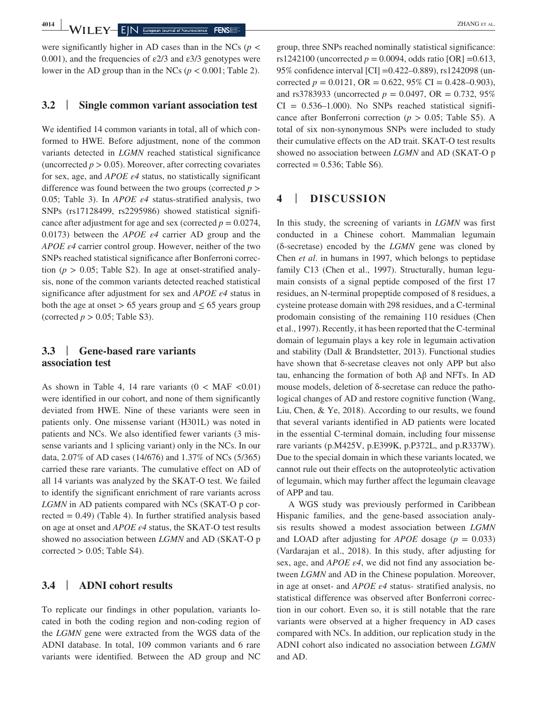**4014 WILEY-EIN** European Journal of Neuroscience **FENS** 

were significantly higher in AD cases than in the NCs ( $p <$ 0.001), and the frequencies of  $\varepsilon$ 2/3 and  $\varepsilon$ 3/3 genotypes were lower in the AD group than in the NCs ( $p < 0.001$ ; Table 2).

#### **3.2** | **Single common variant association test**

We identified 14 common variants in total, all of which conformed to HWE. Before adjustment, none of the common variants detected in *LGMN* reached statistical significance (uncorrected  $p > 0.05$ ). Moreover, after correcting covariates for sex, age, and *APOE ε4* status, no statistically significant difference was found between the two groups (corrected *p* > 0.05; Table 3). In *APOE ε4* status-stratified analysis, two SNPs (rs17128499, rs2295986) showed statistical significance after adjustment for age and sex (corrected  $p = 0.0274$ , 0.0173) between the *APOE ε4* carrier AD group and the *APOE ε4* carrier control group. However, neither of the two SNPs reached statistical significance after Bonferroni correction ( $p > 0.05$ ; Table S2). In age at onset-stratified analysis, none of the common variants detected reached statistical significance after adjustment for sex and *APOE ε4* status in both the age at onset > 65 years group and  $\leq 65$  years group (corrected  $p > 0.05$ ; Table S3).

## **3.3** | **Gene-based rare variants association test**

As shown in Table 4, 14 rare variants  $(0 < MAF < 0.01)$ were identified in our cohort, and none of them significantly deviated from HWE. Nine of these variants were seen in patients only. One missense variant (H301L) was noted in patients and NCs. We also identified fewer variants (3 missense variants and 1 splicing variant) only in the NCs. In our data, 2.07% of AD cases (14/676) and 1.37% of NCs (5/365) carried these rare variants. The cumulative effect on AD of all 14 variants was analyzed by the SKAT-O test. We failed to identify the significant enrichment of rare variants across *LGMN* in AD patients compared with NCs (SKAT-O p cor $rected = 0.49$  (Table 4). In further stratified analysis based on age at onset and *APOE ε4* status, the SKAT-O test results showed no association between *LGMN* and AD (SKAT-O p corrected  $> 0.05$ ; Table S4).

## **3.4** | **ADNI cohort results**

To replicate our findings in other population, variants located in both the coding region and non-coding region of the *LGMN* gene were extracted from the WGS data of the ADNI database. In total, 109 common variants and 6 rare variants were identified. Between the AD group and NC

group, three SNPs reached nominally statistical significance: rs1242100 (uncorrected  $p = 0.0094$ , odds ratio [OR] = 0.613, 95% confidence interval [CI] =0.422–0.889), rs1242098 (uncorrected  $p = 0.0121$ , OR = 0.622, 95% CI = 0.428–0.903), and rs3783933 (uncorrected  $p = 0.0497$ , OR = 0.732, 95%  $CI = 0.536 - 1.000$ . No SNPs reached statistical significance after Bonferroni correction ( $p > 0.05$ ; Table S5). A total of six non-synonymous SNPs were included to study their cumulative effects on the AD trait. SKAT-O test results showed no association between *LGMN* and AD (SKAT-O p corrected  $= 0.536$ ; Table S6).

## **4** | **DISCUSSION**

In this study, the screening of variants in *LGMN* was first conducted in a Chinese cohort. Mammalian legumain (δ-secretase) encoded by the *LGMN* gene was cloned by Chen *et al*. in humans in 1997, which belongs to peptidase family C13 (Chen et al., 1997). Structurally, human legumain consists of a signal peptide composed of the first 17 residues, an N-terminal propeptide composed of 8 residues, a cysteine protease domain with 298 residues, and a C-terminal prodomain consisting of the remaining 110 residues (Chen et al., 1997). Recently, it has been reported that the C-terminal domain of legumain plays a key role in legumain activation and stability (Dall & Brandstetter, 2013). Functional studies have shown that δ-secretase cleaves not only APP but also tau, enhancing the formation of both Aβ and NFTs. In AD mouse models, deletion of δ-secretase can reduce the pathological changes of AD and restore cognitive function (Wang, Liu, Chen, & Ye, 2018). According to our results, we found that several variants identified in AD patients were located in the essential C-terminal domain, including four missense rare variants (p.M425V, p.E399K, p.P372L, and p.R337W). Due to the special domain in which these variants located, we cannot rule out their effects on the autoproteolytic activation of legumain, which may further affect the legumain cleavage of APP and tau.

A WGS study was previously performed in Caribbean Hispanic families, and the gene-based association analysis results showed a modest association between *LGMN* and LOAD after adjusting for *APOE* dosage ( $p = 0.033$ ) (Vardarajan et al., 2018). In this study, after adjusting for sex, age, and *APOE ε4*, we did not find any association between *LGMN* and AD in the Chinese population. Moreover, in age at onset- and *APOE ε4* status*-* stratified analysis, no statistical difference was observed after Bonferroni correction in our cohort. Even so, it is still notable that the rare variants were observed at a higher frequency in AD cases compared with NCs. In addition, our replication study in the ADNI cohort also indicated no association between *LGMN* and AD.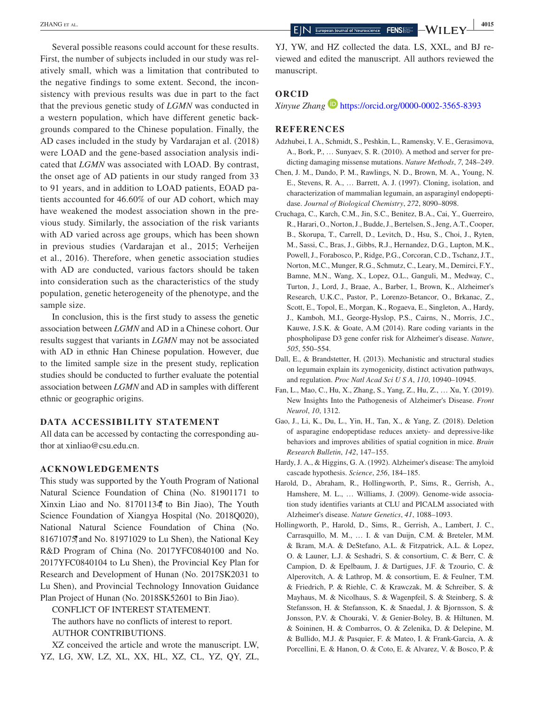Several possible reasons could account for these results. First, the number of subjects included in our study was relatively small, which was a limitation that contributed to the negative findings to some extent. Second, the inconsistency with previous results was due in part to the fact that the previous genetic study of *LGMN* was conducted in a western population, which have different genetic backgrounds compared to the Chinese population. Finally, the AD cases included in the study by Vardarajan et al. (2018) were LOAD and the gene-based association analysis indicated that *LGMN* was associated with LOAD. By contrast, the onset age of AD patients in our study ranged from 33 to 91 years, and in addition to LOAD patients, EOAD patients accounted for 46.60% of our AD cohort, which may have weakened the modest association shown in the previous study. Similarly, the association of the risk variants with AD varied across age groups, which has been shown in previous studies (Vardarajan et al., 2015; Verheijen et al., 2016). Therefore, when genetic association studies with AD are conducted, various factors should be taken into consideration such as the characteristics of the study population, genetic heterogeneity of the phenotype, and the sample size.

In conclusion, this is the first study to assess the genetic association between *LGMN* and AD in a Chinese cohort. Our results suggest that variants in *LGMN* may not be associated with AD in ethnic Han Chinese population. However, due to the limited sample size in the present study, replication studies should be conducted to further evaluate the potential association between *LGMN* and AD in samples with different ethnic or geographic origins.

#### **DATA ACCESSIBILITY STATEMENT**

All data can be accessed by contacting the corresponding author at xinliao@csu.edu.cn.

#### **ACKNOWLEDGEMENTS**

This study was supported by the Youth Program of National Natural Science Foundation of China (No. 81901171 to Xinxin Liao and No. 81701134 to Bin Jiao), The Youth Science Foundation of Xiangya Hospital (No. 2018O020), National Natural Science Foundation of China (No. 81671075 and No. 81971029 to Lu Shen), the National Key R&D Program of China (No. 2017YFC0840100 and No. 2017YFC0840104 to Lu Shen), the Provincial Key Plan for Research and Development of Hunan (No. 2017SK2031 to Lu Shen), and Provincial Technology Innovation Guidance Plan Project of Hunan (No. 2018SK52601 to Bin Jiao).

CONFLICT OF INTEREST STATEMENT.

The authors have no conflicts of interest to report. AUTHOR CONTRIBUTIONS.

XZ conceived the article and wrote the manuscript. LW, YZ, LG, XW, LZ, XL, XX, HL, XZ, CL, YZ, QY, ZL,

YJ, YW, and HZ collected the data. LS, XXL, and BJ reviewed and edited the manuscript. All authors reviewed the manuscript.

## **ORCID**

*Xinyue Zhang* <https://orcid.org/0000-0002-3565-8393>

#### **REFERENCES**

- Adzhubei, I. A., Schmidt, S., Peshkin, L., Ramensky, V. E., Gerasimova, A., Bork, P., … Sunyaev, S. R. (2010). A method and server for predicting damaging missense mutations. *Nature Methods*, *7*, 248–249.
- Chen, J. M., Dando, P. M., Rawlings, N. D., Brown, M. A., Young, N. E., Stevens, R. A., … Barrett, A. J. (1997). Cloning, isolation, and characterization of mammalian legumain, an asparaginyl endopeptidase. *Journal of Biological Chemistry*, *272*, 8090–8098.
- Cruchaga, C., Karch, C.M., Jin, S.C., Benitez, B.A., Cai, Y., Guerreiro, R., Harari, O., Norton, J., Budde, J., Bertelsen, S., Jeng, A.T., Cooper, B., Skorupa, T., Carrell, D., Levitch, D., Hsu, S., Choi, J., Ryten, M., Sassi, C., Bras, J., Gibbs, R.J., Hernandez, D.G., Lupton, M.K., Powell, J., Forabosco, P., Ridge, P.G., Corcoran, C.D., Tschanz, J.T., Norton, M.C., Munger, R.G., Schmutz, C., Leary, M., Demirci, F.Y., Bamne, M.N., Wang, X., Lopez, O.L., Ganguli, M., Medway, C., Turton, J., Lord, J., Braae, A., Barber, I., Brown, K., Alzheimer's Research, U.K.C., Pastor, P., Lorenzo-Betancor, O., Brkanac, Z., Scott, E., Topol, E., Morgan, K., Rogaeva, E., Singleton, A., Hardy, J., Kamboh, M.I., George-Hyslop, P.S., Cairns, N., Morris, J.C., Kauwe, J.S.K. & Goate, A.M (2014). Rare coding variants in the phospholipase D3 gene confer risk for Alzheimer's disease. *Nature*, *505*, 550–554.
- Dall, E., & Brandstetter, H. (2013). Mechanistic and structural studies on legumain explain its zymogenicity, distinct activation pathways, and regulation. *Proc Natl Acad Sci U S A*, *110*, 10940–10945.
- Fan, L., Mao, C., Hu, X., Zhang, S., Yang, Z., Hu, Z., … Xu, Y. (2019). New Insights Into the Pathogenesis of Alzheimer's Disease. *Front Neurol*, *10*, 1312.
- Gao, J., Li, K., Du, L., Yin, H., Tan, X., & Yang, Z. (2018). Deletion of asparagine endopeptidase reduces anxiety- and depressive-like behaviors and improves abilities of spatial cognition in mice. *Brain Research Bulletin*, *142*, 147–155.
- Hardy, J. A., & Higgins, G. A. (1992). Alzheimer's disease: The amyloid cascade hypothesis. *Science*, *256*, 184–185.
- Harold, D., Abraham, R., Hollingworth, P., Sims, R., Gerrish, A., Hamshere, M. L., … Williams, J. (2009). Genome-wide association study identifies variants at CLU and PICALM associated with Alzheimer's disease. *Nature Genetics*, *41*, 1088–1093.
- Hollingworth, P., Harold, D., Sims, R., Gerrish, A., Lambert, J. C., Carrasquillo, M. M., … I. & van Duijn, C.M. & Breteler, M.M. & Ikram, M.A. & DeStefano, A.L. & Fitzpatrick, A.L. & Lopez, O. & Launer, L.J. & Seshadri, S. & consortium, C. & Berr, C. & Campion, D. & Epelbaum, J. & Dartigues, J.F. & Tzourio, C. & Alperovitch, A. & Lathrop, M. & consortium, E. & Feulner, T.M. & Friedrich, P. & Riehle, C. & Krawczak, M. & Schreiber, S. & Mayhaus, M. & Nicolhaus, S. & Wagenpfeil, S. & Steinberg, S. & Stefansson, H. & Stefansson, K. & Snaedal, J. & Bjornsson, S. & Jonsson, P.V. & Chouraki, V. & Genier-Boley, B. & Hiltunen, M. & Soininen, H. & Combarros, O. & Zelenika, D. & Delepine, M. & Bullido, M.J. & Pasquier, F. & Mateo, I. & Frank-Garcia, A. & Porcellini, E. & Hanon, O. & Coto, E. & Alvarez, V. & Bosco, P. &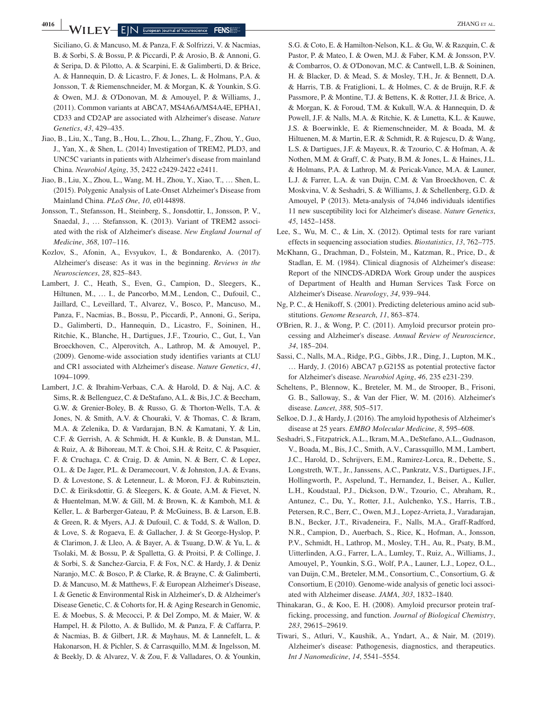**4016 WILEY-EIN** European Journal of Neuroscience **FENS** 

- Siciliano, G. & Mancuso, M. & Panza, F. & Solfrizzi, V. & Nacmias, B. & Sorbi, S. & Bossu, P. & Piccardi, P. & Arosio, B. & Annoni, G. & Seripa, D. & Pilotto, A. & Scarpini, E. & Galimberti, D. & Brice, A. & Hannequin, D. & Licastro, F. & Jones, L. & Holmans, P.A. & Jonsson, T. & Riemenschneider, M. & Morgan, K. & Younkin, S.G. & Owen, M.J. & O'Donovan, M. & Amouyel, P. & Williams, J., (2011). Common variants at ABCA7, MS4A6A/MS4A4E, EPHA1, CD33 and CD2AP are associated with Alzheimer's disease. *Nature Genetics*, *43*, 429–435.
- Jiao, B., Liu, X., Tang, B., Hou, L., Zhou, L., Zhang, F., Zhou, Y., Guo, J., Yan, X., & Shen, L. (2014) Investigation of TREM2, PLD3, and UNC5C variants in patients with Alzheimer's disease from mainland China. *Neurobiol Aging*, 35, 2422 e2429-2422 e2411.
- Jiao, B., Liu, X., Zhou, L., Wang, M. H., Zhou, Y., Xiao, T., … Shen, L. (2015). Polygenic Analysis of Late-Onset Alzheimer's Disease from Mainland China. *PLoS One*, *10*, e0144898.
- Jonsson, T., Stefansson, H., Steinberg, S., Jonsdottir, I., Jonsson, P. V., Snaedal, J., … Stefansson, K. (2013). Variant of TREM2 associated with the risk of Alzheimer's disease. *New England Journal of Medicine*, *368*, 107–116.
- Kozlov, S., Afonin, A., Evsyukov, I., & Bondarenko, A. (2017). Alzheimer's disease: As it was in the beginning. *Reviews in the Neurosciences*, *28*, 825–843.
- Lambert, J. C., Heath, S., Even, G., Campion, D., Sleegers, K., Hiltunen, M., … I., de Pancorbo, M.M., Lendon, C., Dufouil, C., Jaillard, C., Leveillard, T., Alvarez, V., Bosco, P., Mancuso, M., Panza, F., Nacmias, B., Bossu, P., Piccardi, P., Annoni, G., Seripa, D., Galimberti, D., Hannequin, D., Licastro, F., Soininen, H., Ritchie, K., Blanche, H., Dartigues, J.F., Tzourio, C., Gut, I., Van Broeckhoven, C., Alperovitch, A., Lathrop, M. & Amouyel, P., (2009). Genome-wide association study identifies variants at CLU and CR1 associated with Alzheimer's disease. *Nature Genetics*, *41*, 1094–1099.
- Lambert, J.C. & Ibrahim-Verbaas, C.A. & Harold, D. & Naj, A.C. & Sims, R. & Bellenguez, C. & DeStafano, A.L. & Bis, J.C. & Beecham, G.W. & Grenier-Boley, B. & Russo, G. & Thorton-Wells, T.A. & Jones, N. & Smith, A.V. & Chouraki, V. & Thomas, C. & Ikram, M.A. & Zelenika, D. & Vardarajan, B.N. & Kamatani, Y. & Lin, C.F. & Gerrish, A. & Schmidt, H. & Kunkle, B. & Dunstan, M.L. & Ruiz, A. & Bihoreau, M.T. & Choi, S.H. & Reitz, C. & Pasquier, F. & Cruchaga, C. & Craig, D. & Amin, N. & Berr, C. & Lopez, O.L. & De Jager, P.L. & Deramecourt, V. & Johnston, J.A. & Evans, D. & Lovestone, S. & Letenneur, L. & Moron, F.J. & Rubinsztein, D.C. & Eiriksdottir, G. & Sleegers, K. & Goate, A.M. & Fievet, N. & Huentelman, M.W. & Gill, M. & Brown, K. & Kamboh, M.I. & Keller, L. & Barberger-Gateau, P. & McGuiness, B. & Larson, E.B. & Green, R. & Myers, A.J. & Dufouil, C. & Todd, S. & Wallon, D. & Love, S. & Rogaeva, E. & Gallacher, J. & St George-Hyslop, P. & Clarimon, J. & Lleo, A. & Bayer, A. & Tsuang, D.W. & Yu, L. & Tsolaki, M. & Bossu, P. & Spalletta, G. & Proitsi, P. & Collinge, J. & Sorbi, S. & Sanchez-Garcia, F. & Fox, N.C. & Hardy, J. & Deniz Naranjo, M.C. & Bosco, P. & Clarke, R. & Brayne, C. & Galimberti, D. & Mancuso, M. & Matthews, F. & European Alzheimer's Disease, I. & Genetic & Environmental Risk in Alzheimer's, D. & Alzheimer's Disease Genetic, C. & Cohorts for, H. & Aging Research in Genomic, E. & Moebus, S. & Mecocci, P. & Del Zompo, M. & Maier, W. & Hampel, H. & Pilotto, A. & Bullido, M. & Panza, F. & Caffarra, P. & Nacmias, B. & Gilbert, J.R. & Mayhaus, M. & Lannefelt, L. & Hakonarson, H. & Pichler, S. & Carrasquillo, M.M. & Ingelsson, M. & Beekly, D. & Alvarez, V. & Zou, F. & Valladares, O. & Younkin,
- S.G. & Coto, E. & Hamilton-Nelson, K.L. & Gu, W. & Razquin, C. & Pastor, P. & Mateo, I. & Owen, M.J. & Faber, K.M. & Jonsson, P.V. & Combarros, O. & O'Donovan, M.C. & Cantwell, L.B. & Soininen, H. & Blacker, D. & Mead, S. & Mosley, T.H., Jr. & Bennett, D.A. & Harris, T.B. & Fratiglioni, L. & Holmes, C. & de Bruijn, R.F. & Passmore, P. & Montine, T.J. & Bettens, K. & Rotter, J.I. & Brice, A. & Morgan, K. & Foroud, T.M. & Kukull, W.A. & Hannequin, D. & Powell, J.F. & Nalls, M.A. & Ritchie, K. & Lunetta, K.L. & Kauwe, J.S. & Boerwinkle, E. & Riemenschneider, M. & Boada, M. & Hiltuenen, M. & Martin, E.R. & Schmidt, R. & Rujescu, D. & Wang, L.S. & Dartigues, J.F. & Mayeux, R. & Tzourio, C. & Hofman, A. & Nothen, M.M. & Graff, C. & Psaty, B.M. & Jones, L. & Haines, J.L. & Holmans, P.A. & Lathrop, M. & Pericak-Vance, M.A. & Launer, L.J. & Farrer, L.A. & van Duijn, C.M. & Van Broeckhoven, C. & Moskvina, V. & Seshadri, S. & Williams, J. & Schellenberg, G.D. & Amouyel, P (2013). Meta-analysis of 74,046 individuals identifies 11 new susceptibility loci for Alzheimer's disease. *Nature Genetics*, *45*, 1452–1458.
- Lee, S., Wu, M. C., & Lin, X. (2012). Optimal tests for rare variant effects in sequencing association studies. *Biostatistics*, *13*, 762–775.
- McKhann, G., Drachman, D., Folstein, M., Katzman, R., Price, D., & Stadlan, E. M. (1984). Clinical diagnosis of Alzheimer's disease: Report of the NINCDS-ADRDA Work Group under the auspices of Department of Health and Human Services Task Force on Alzheimer's Disease. *Neurology*, *34*, 939–944.
- Ng, P. C., & Henikoff, S. (2001). Predicting deleterious amino acid substitutions. *Genome Research*, *11*, 863–874.
- O'Brien, R. J., & Wong, P. C. (2011). Amyloid precursor protein processing and Alzheimer's disease. *Annual Review of Neuroscience*, *34*, 185–204.
- Sassi, C., Nalls, M.A., Ridge, P.G., Gibbs, J.R., Ding, J., Lupton, M.K., … Hardy, J. (2016) ABCA7 p.G215S as potential protective factor for Alzheimer's disease. *Neurobiol Aging*, *46*, 235 e231-239.
- Scheltens, P., Blennow, K., Breteler, M. M., de Strooper, B., Frisoni, G. B., Salloway, S., & Van der Flier, W. M. (2016). Alzheimer's disease. *Lancet*, *388*, 505–517.
- Selkoe, D. J., & Hardy, J. (2016). The amyloid hypothesis of Alzheimer's disease at 25 years. *EMBO Molecular Medicine*, *8*, 595–608.
- Seshadri, S., Fitzpatrick, A.L., Ikram, M.A., DeStefano, A.L., Gudnason, V., Boada, M., Bis, J.C., Smith, A.V., Carassquillo, M.M., Lambert, J.C., Harold, D., Schrijvers, E.M., Ramirez-Lorca, R., Debette, S., Longstreth, W.T., Jr., Janssens, A.C., Pankratz, V.S., Dartigues, J.F., Hollingworth, P., Aspelund, T., Hernandez, I., Beiser, A., Kuller, L.H., Koudstaal, P.J., Dickson, D.W., Tzourio, C., Abraham, R., Antunez, C., Du, Y., Rotter, J.I., Aulchenko, Y.S., Harris, T.B., Petersen, R.C., Berr, C., Owen, M.J., Lopez-Arrieta, J., Varadarajan, B.N., Becker, J.T., Rivadeneira, F., Nalls, M.A., Graff-Radford, N.R., Campion, D., Auerbach, S., Rice, K., Hofman, A., Jonsson, P.V., Schmidt, H., Lathrop, M., Mosley, T.H., Au, R., Psaty, B.M., Uitterlinden, A.G., Farrer, L.A., Lumley, T., Ruiz, A., Williams, J., Amouyel, P., Younkin, S.G., Wolf, P.A., Launer, L.J., Lopez, O.L., van Duijn, C.M., Breteler, M.M., Consortium, C., Consortium, G. & Consortium, E (2010). Genome-wide analysis of genetic loci associated with Alzheimer disease. *JAMA*, *303*, 1832–1840.
- Thinakaran, G., & Koo, E. H. (2008). Amyloid precursor protein trafficking, processing, and function. *Journal of Biological Chemistry*, *283*, 29615–29619.
- Tiwari, S., Atluri, V., Kaushik, A., Yndart, A., & Nair, M. (2019). Alzheimer's disease: Pathogenesis, diagnostics, and therapeutics. *Int J Nanomedicine*, *14*, 5541–5554.